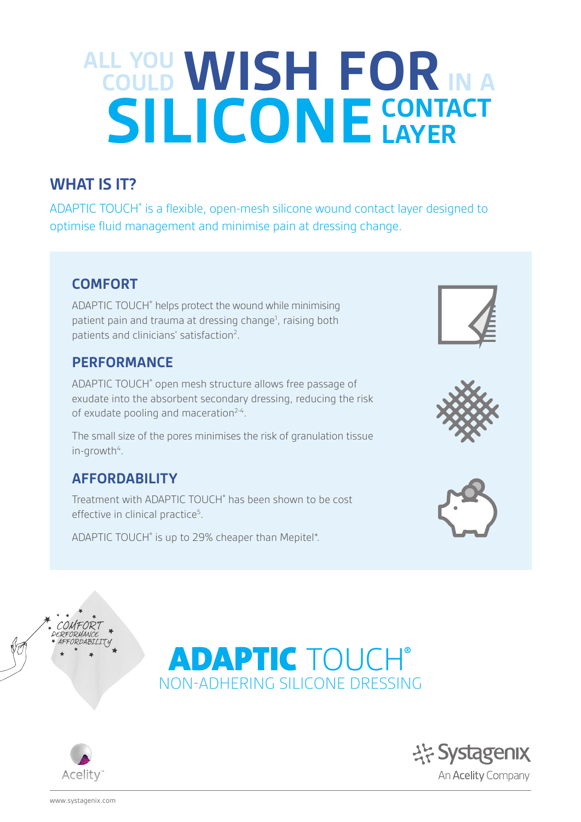# **ALL YOU COULD SILICONE WISH FORIN A CONTACT LAYER**

# **WHAT IS IT?**

ADAPTIC TOUCH® is a flexible, open-mesh silicone wound contact layer designed to optimise fluid management and minimise pain at dressing change.

## **COMFORT**

ADAPTIC TOUCH® helps protect the wound while minimising patient pain and trauma at dressing change<sup>1</sup>, raising both patients and clinicians' satisfaction<sup>2</sup>.

## **PERFORMANCE**

ADAPTIC TOUCH® open mesh structure allows free passage of exudate into the absorbent secondary dressing, reducing the risk of exudate pooling and maceration<sup>2-4</sup>.

The small size of the pores minimises the risk of granulation tissue in-growth<sup>4</sup>.

## **AFFORDABILITY**

Treatment with ADAPTIC TOUCH® has been shown to be cost effective in clinical practice<sup>5</sup>.

ADAPTIC TOUCH® is up to 29% cheaper than Mepitel\*.